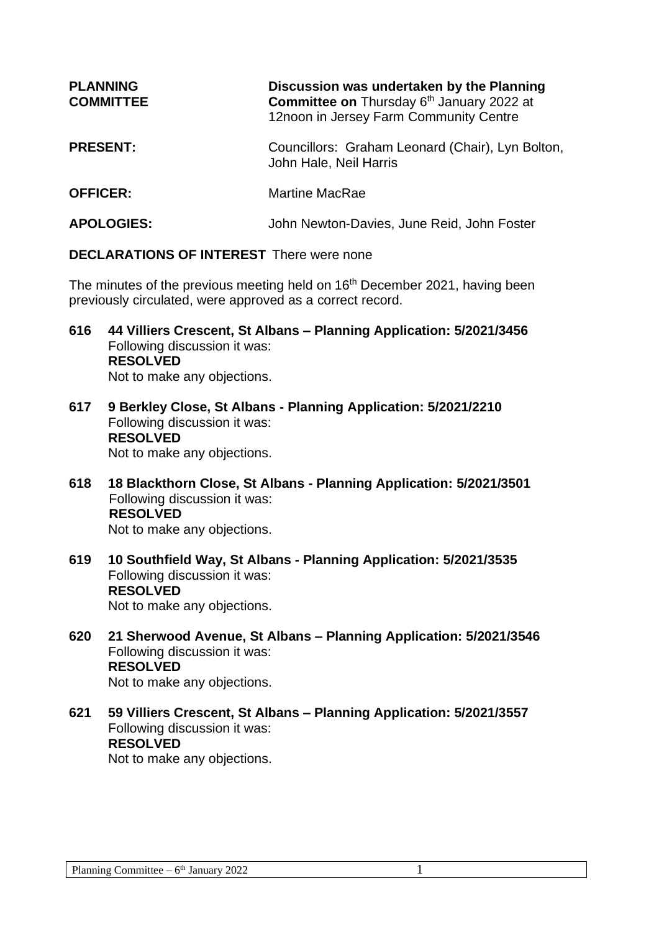| <b>PLANNING</b><br><b>COMMITTEE</b> | Discussion was undertaken by the Planning<br>Committee on Thursday 6th January 2022 at<br>12noon in Jersey Farm Community Centre |
|-------------------------------------|----------------------------------------------------------------------------------------------------------------------------------|
| <b>PRESENT:</b>                     | Councillors: Graham Leonard (Chair), Lyn Bolton,<br>John Hale, Neil Harris                                                       |
| <b>OFFICER:</b>                     | Martine MacRae                                                                                                                   |
| <b>APOLOGIES:</b>                   | John Newton-Davies, June Reid, John Foster                                                                                       |

**DECLARATIONS OF INTEREST** There were none

The minutes of the previous meeting held on 16<sup>th</sup> December 2021, having been previously circulated, were approved as a correct record.

- **616 44 Villiers Crescent, St Albans – Planning Application: 5/2021/3456** Following discussion it was: **RESOLVED** Not to make any objections.
- **617 9 Berkley Close, St Albans - Planning Application: 5/2021/2210** Following discussion it was: **RESOLVED** Not to make any objections.
- **618 18 Blackthorn Close, St Albans - Planning Application: 5/2021/3501** Following discussion it was: **RESOLVED** Not to make any objections.
- **619 10 Southfield Way, St Albans - Planning Application: 5/2021/3535** Following discussion it was: **RESOLVED** Not to make any objections.
- **620 21 Sherwood Avenue, St Albans – Planning Application: 5/2021/3546** Following discussion it was: **RESOLVED** Not to make any objections.
- **621 59 Villiers Crescent, St Albans – Planning Application: 5/2021/3557** Following discussion it was: **RESOLVED**

Not to make any objections.